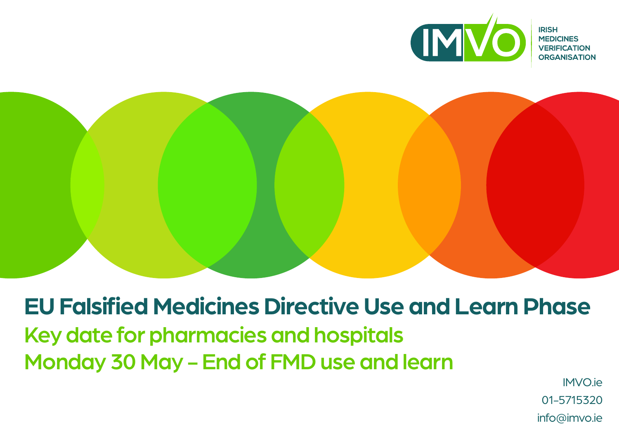



**EU Falsified Medicines Directive Use and Learn Phase** Key date for pharmacies and hospitals Monday 30 May - End of FMD use and learn

IMVO.ie 01-5715320 info@imvo.ie